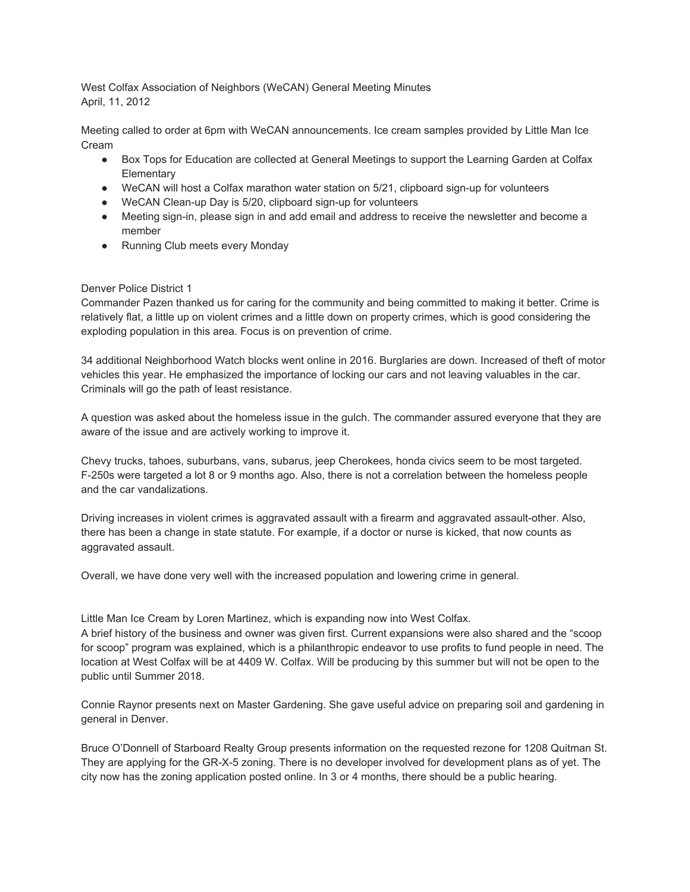West Colfax Association of Neighbors (WeCAN) General Meeting Minutes April, 11, 2012

Meeting called to order at 6pm with WeCAN announcements. Ice cream samples provided by Little Man Ice Cream

- Box Tops for Education are collected at General Meetings to support the Learning Garden at Colfax **Elementary**
- WeCAN will host a Colfax marathon water station on 5/21, clipboard sign-up for volunteers
- WeCAN Clean-up Day is 5/20, clipboard sign-up for volunteers
- Meeting sign-in, please sign in and add email and address to receive the newsletter and become a member
- Running Club meets every Monday

## Denver Police District 1

Commander Pazen thanked us for caring for the community and being committed to making it better. Crime is relatively flat, a little up on violent crimes and a little down on property crimes, which is good considering the exploding population in this area. Focus is on prevention of crime.

34 additional Neighborhood Watch blocks went online in 2016. Burglaries are down. Increased of theft of motor vehicles this year. He emphasized the importance of locking our cars and not leaving valuables in the car. Criminals will go the path of least resistance.

A question was asked about the homeless issue in the gulch. The commander assured everyone that they are aware of the issue and are actively working to improve it.

Chevy trucks, tahoes, suburbans, vans, subarus, jeep Cherokees, honda civics seem to be most targeted. F-250s were targeted a lot 8 or 9 months ago. Also, there is not a correlation between the homeless people and the car vandalizations.

Driving increases in violent crimes is aggravated assault with a firearm and aggravated assault-other. Also, there has been a change in state statute. For example, if a doctor or nurse is kicked, that now counts as aggravated assault.

Overall, we have done very well with the increased population and lowering crime in general.

Little Man Ice Cream by Loren Martinez, which is expanding now into West Colfax.

A brief history of the business and owner was given first. Current expansions were also shared and the "scoop for scoop" program was explained, which is a philanthropic endeavor to use profits to fund people in need. The location at West Colfax will be at 4409 W. Colfax. Will be producing by this summer but will not be open to the public until Summer 2018.

Connie Raynor presents next on Master Gardening. She gave useful advice on preparing soil and gardening in general in Denver.

Bruce O'Donnell of Starboard Realty Group presents information on the requested rezone for 1208 Quitman St. They are applying for the GR-X-5 zoning. There is no developer involved for development plans as of yet. The city now has the zoning application posted online. In 3 or 4 months, there should be a public hearing.